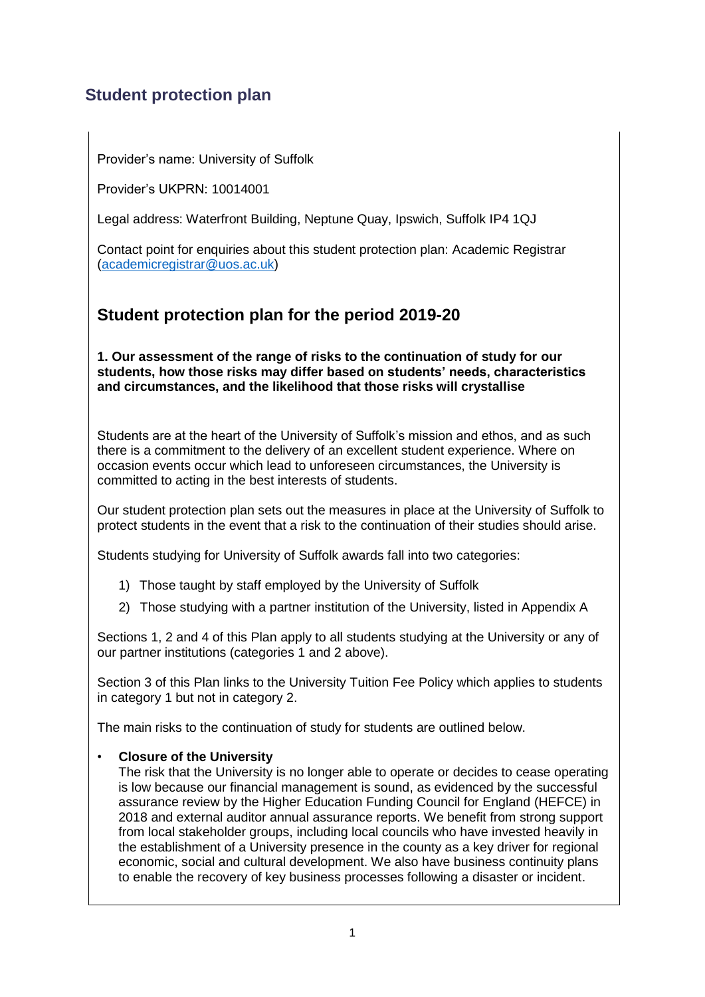# **Student protection plan**

Provider's name: University of Suffolk

Provider's UKPRN: 10014001

Legal address: Waterfront Building, Neptune Quay, Ipswich, Suffolk IP4 1QJ

Contact point for enquiries about this student protection plan: Academic Registrar [\(academicregistrar@uos.ac.uk\)](mailto:academicregistrar@uos.ac.uk)

# **Student protection plan for the period 2019-20**

**1. Our assessment of the range of risks to the continuation of study for our students, how those risks may differ based on students' needs, characteristics and circumstances, and the likelihood that those risks will crystallise**

Students are at the heart of the University of Suffolk's mission and ethos, and as such there is a commitment to the delivery of an excellent student experience. Where on occasion events occur which lead to unforeseen circumstances, the University is committed to acting in the best interests of students.

Our student protection plan sets out the measures in place at the University of Suffolk to protect students in the event that a risk to the continuation of their studies should arise.

Students studying for University of Suffolk awards fall into two categories:

- 1) Those taught by staff employed by the University of Suffolk
- 2) Those studying with a partner institution of the University, listed in Appendix A

Sections 1, 2 and 4 of this Plan apply to all students studying at the University or any of our partner institutions (categories 1 and 2 above).

Section 3 of this Plan links to the University Tuition Fee Policy which applies to students in category 1 but not in category 2.

The main risks to the continuation of study for students are outlined below.

## • **Closure of the University**

The risk that the University is no longer able to operate or decides to cease operating is low because our financial management is sound, as evidenced by the successful assurance review by the Higher Education Funding Council for England (HEFCE) in 2018 and external auditor annual assurance reports. We benefit from strong support from local stakeholder groups, including local councils who have invested heavily in the establishment of a University presence in the county as a key driver for regional economic, social and cultural development. We also have business continuity plans to enable the recovery of key business processes following a disaster or incident.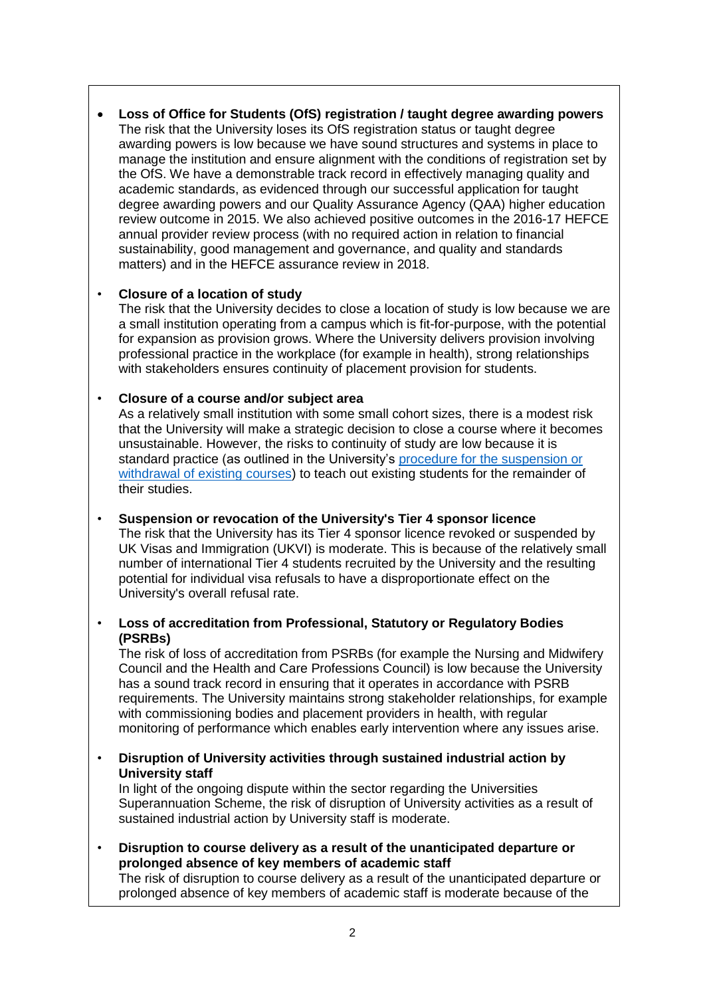**Loss of Office for Students (OfS) registration / taught degree awarding powers** The risk that the University loses its OfS registration status or taught degree awarding powers is low because we have sound structures and systems in place to manage the institution and ensure alignment with the conditions of registration set by the OfS. We have a demonstrable track record in effectively managing quality and academic standards, as evidenced through our successful application for taught degree awarding powers and our Quality Assurance Agency (QAA) higher education review outcome in 2015. We also achieved positive outcomes in the 2016-17 HEFCE annual provider review process (with no required action in relation to financial sustainability, good management and governance, and quality and standards matters) and in the HEFCE assurance review in 2018.

## • **Closure of a location of study**

The risk that the University decides to close a location of study is low because we are a small institution operating from a campus which is fit-for-purpose, with the potential for expansion as provision grows. Where the University delivers provision involving professional practice in the workplace (for example in health), strong relationships with stakeholders ensures continuity of placement provision for students.

## • **Closure of a course and/or subject area**

As a relatively small institution with some small cohort sizes, there is a modest risk that the University will make a strategic decision to close a course where it becomes unsustainable. However, the risks to continuity of study are low because it is standard practice (as outlined in the University's [procedure for the suspension or](https://www.uos.ac.uk/sites/default/files/Course-suspension-withdrawal-procedure.pdf)  [withdrawal of existing courses\)](https://www.uos.ac.uk/sites/default/files/Course-suspension-withdrawal-procedure.pdf) to teach out existing students for the remainder of their studies.

#### • **Suspension or revocation of the University's Tier 4 sponsor licence**

The risk that the University has its Tier 4 sponsor licence revoked or suspended by UK Visas and Immigration (UKVI) is moderate. This is because of the relatively small number of international Tier 4 students recruited by the University and the resulting potential for individual visa refusals to have a disproportionate effect on the University's overall refusal rate.

#### • **Loss of accreditation from Professional, Statutory or Regulatory Bodies (PSRBs)**

The risk of loss of accreditation from PSRBs (for example the Nursing and Midwifery Council and the Health and Care Professions Council) is low because the University has a sound track record in ensuring that it operates in accordance with PSRB requirements. The University maintains strong stakeholder relationships, for example with commissioning bodies and placement providers in health, with regular monitoring of performance which enables early intervention where any issues arise.

• **Disruption of University activities through sustained industrial action by University staff**

In light of the ongoing dispute within the sector regarding the Universities Superannuation Scheme, the risk of disruption of University activities as a result of sustained industrial action by University staff is moderate.

• **Disruption to course delivery as a result of the unanticipated departure or prolonged absence of key members of academic staff**

The risk of disruption to course delivery as a result of the unanticipated departure or prolonged absence of key members of academic staff is moderate because of the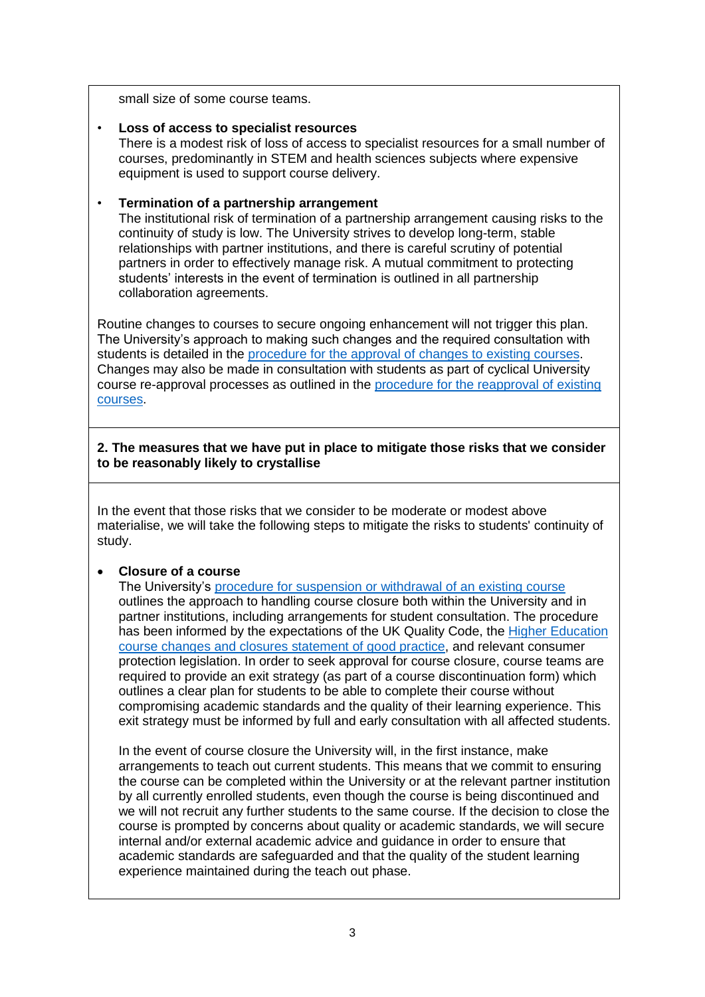small size of some course teams.

## • **Loss of access to specialist resources**

There is a modest risk of loss of access to specialist resources for a small number of courses, predominantly in STEM and health sciences subjects where expensive equipment is used to support course delivery.

## • **Termination of a partnership arrangement**

The institutional risk of termination of a partnership arrangement causing risks to the continuity of study is low. The University strives to develop long-term, stable relationships with partner institutions, and there is careful scrutiny of potential partners in order to effectively manage risk. A mutual commitment to protecting students' interests in the event of termination is outlined in all partnership collaboration agreements.

Routine changes to courses to secure ongoing enhancement will not trigger this plan. The University's approach to making such changes and the required consultation with students is detailed in the [procedure for the approval of](https://www.uos.ac.uk/sites/default/files/Course-modification-procedure.pdf) changes to existing courses. Changes may also be made in consultation with students as part of cyclical University course re-approval processes as outlined in the [procedure for the reapproval of existing](https://www.uos.ac.uk/sites/default/files/Course-reapproval-procedure.pdf)  [courses.](https://www.uos.ac.uk/sites/default/files/Course-reapproval-procedure.pdf)

#### **2. The measures that we have put in place to mitigate those risks that we consider to be reasonably likely to crystallise**

In the event that those risks that we consider to be moderate or modest above materialise, we will take the following steps to mitigate the risks to students' continuity of study.

## **Closure of a course**

The University's [procedure for suspension or withdrawal of an existing course](https://www.uos.ac.uk/sites/default/files/Course-reapproval-procedure.pdf) outlines the approach to handling course closure both within the University and in partner institutions, including arrangements for student consultation. The procedure has been informed by the expectations of the UK Quality Code, the [Higher Education](http://www.hefce.ac.uk/media/HEFCE,2014/Content/Regulation/Student,protection/Statement_good_practice.pdf)  [course changes and closures statement of good practice,](http://www.hefce.ac.uk/media/HEFCE,2014/Content/Regulation/Student,protection/Statement_good_practice.pdf) and relevant consumer protection legislation. In order to seek approval for course closure, course teams are required to provide an exit strategy (as part of a course discontinuation form) which outlines a clear plan for students to be able to complete their course without compromising academic standards and the quality of their learning experience. This exit strategy must be informed by full and early consultation with all affected students.

In the event of course closure the University will, in the first instance, make arrangements to teach out current students. This means that we commit to ensuring the course can be completed within the University or at the relevant partner institution by all currently enrolled students, even though the course is being discontinued and we will not recruit any further students to the same course. If the decision to close the course is prompted by concerns about quality or academic standards, we will secure internal and/or external academic advice and guidance in order to ensure that academic standards are safeguarded and that the quality of the student learning experience maintained during the teach out phase.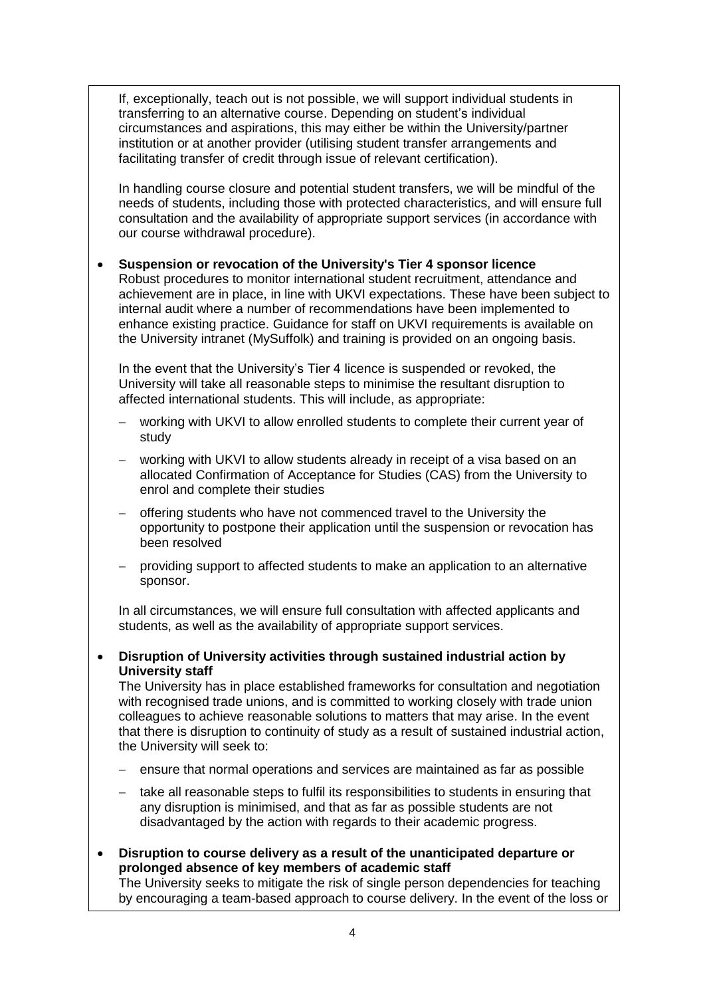If, exceptionally, teach out is not possible, we will support individual students in transferring to an alternative course. Depending on student's individual circumstances and aspirations, this may either be within the University/partner institution or at another provider (utilising student transfer arrangements and facilitating transfer of credit through issue of relevant certification).

In handling course closure and potential student transfers, we will be mindful of the needs of students, including those with protected characteristics, and will ensure full consultation and the availability of appropriate support services (in accordance with our course withdrawal procedure).

 **Suspension or revocation of the University's Tier 4 sponsor licence** Robust procedures to monitor international student recruitment, attendance and achievement are in place, in line with UKVI expectations. These have been subject to internal audit where a number of recommendations have been implemented to enhance existing practice. Guidance for staff on UKVI requirements is available on the University intranet (MySuffolk) and training is provided on an ongoing basis.

In the event that the University's Tier 4 licence is suspended or revoked, the University will take all reasonable steps to minimise the resultant disruption to affected international students. This will include, as appropriate:

- working with UKVI to allow enrolled students to complete their current year of study
- working with UKVI to allow students already in receipt of a visa based on an allocated Confirmation of Acceptance for Studies (CAS) from the University to enrol and complete their studies
- offering students who have not commenced travel to the University the opportunity to postpone their application until the suspension or revocation has been resolved
- providing support to affected students to make an application to an alternative sponsor.

In all circumstances, we will ensure full consultation with affected applicants and students, as well as the availability of appropriate support services.

 **Disruption of University activities through sustained industrial action by University staff**

The University has in place established frameworks for consultation and negotiation with recognised trade unions, and is committed to working closely with trade union colleagues to achieve reasonable solutions to matters that may arise. In the event that there is disruption to continuity of study as a result of sustained industrial action, the University will seek to:

- ensure that normal operations and services are maintained as far as possible
- take all reasonable steps to fulfil its responsibilities to students in ensuring that any disruption is minimised, and that as far as possible students are not disadvantaged by the action with regards to their academic progress.
- **Disruption to course delivery as a result of the unanticipated departure or prolonged absence of key members of academic staff** The University seeks to mitigate the risk of single person dependencies for teaching by encouraging a team-based approach to course delivery. In the event of the loss or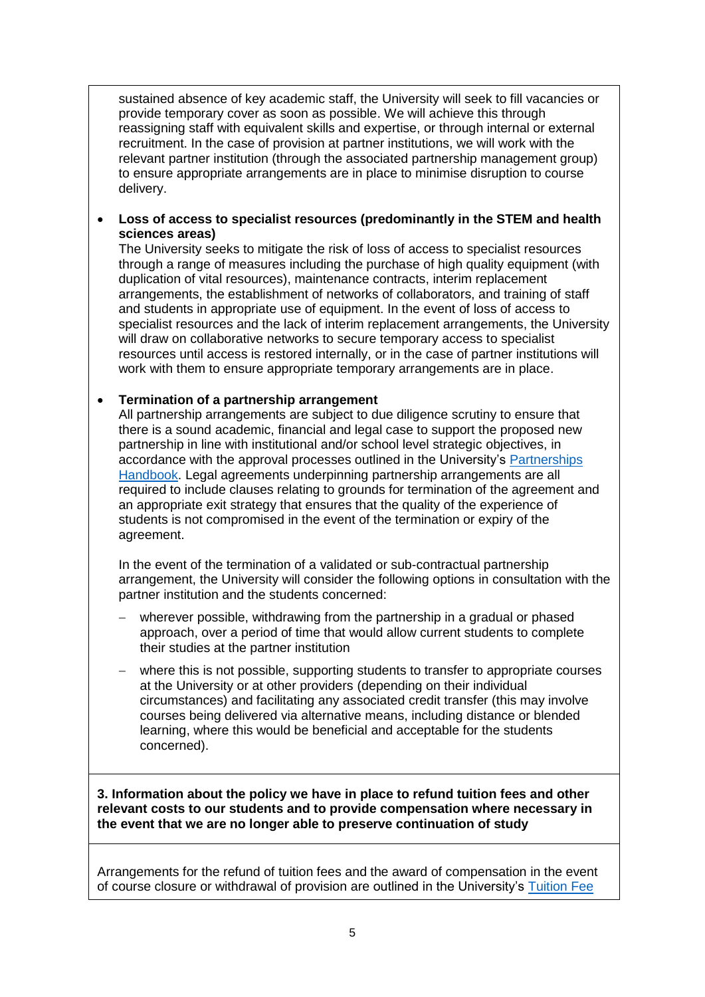sustained absence of key academic staff, the University will seek to fill vacancies or provide temporary cover as soon as possible. We will achieve this through reassigning staff with equivalent skills and expertise, or through internal or external recruitment. In the case of provision at partner institutions, we will work with the relevant partner institution (through the associated partnership management group) to ensure appropriate arrangements are in place to minimise disruption to course delivery.

 **Loss of access to specialist resources (predominantly in the STEM and health sciences areas)**

The University seeks to mitigate the risk of loss of access to specialist resources through a range of measures including the purchase of high quality equipment (with duplication of vital resources), maintenance contracts, interim replacement arrangements, the establishment of networks of collaborators, and training of staff and students in appropriate use of equipment. In the event of loss of access to specialist resources and the lack of interim replacement arrangements, the University will draw on collaborative networks to secure temporary access to specialist resources until access is restored internally, or in the case of partner institutions will work with them to ensure appropriate temporary arrangements are in place.

## **Termination of a partnership arrangement**

All partnership arrangements are subject to due diligence scrutiny to ensure that there is a sound academic, financial and legal case to support the proposed new partnership in line with institutional and/or school level strategic objectives, in accordance with the approval processes outlined in the University's [Partnerships](https://www.uos.ac.uk/sites/default/files/partnerships-handbook.pdf)  [Handbook.](https://www.uos.ac.uk/sites/default/files/partnerships-handbook.pdf) Legal agreements underpinning partnership arrangements are all required to include clauses relating to grounds for termination of the agreement and an appropriate exit strategy that ensures that the quality of the experience of students is not compromised in the event of the termination or expiry of the agreement.

In the event of the termination of a validated or sub-contractual partnership arrangement, the University will consider the following options in consultation with the partner institution and the students concerned:

- wherever possible, withdrawing from the partnership in a gradual or phased approach, over a period of time that would allow current students to complete their studies at the partner institution
- where this is not possible, supporting students to transfer to appropriate courses at the University or at other providers (depending on their individual circumstances) and facilitating any associated credit transfer (this may involve courses being delivered via alternative means, including distance or blended learning, where this would be beneficial and acceptable for the students concerned).

**3. Information about the policy we have in place to refund tuition fees and other relevant costs to our students and to provide compensation where necessary in the event that we are no longer able to preserve continuation of study**

Arrangements for the refund of tuition fees and the award of compensation in the event of course closure or withdrawal of provision are outlined in the University's [Tuition Fee](https://www.uos.ac.uk/sites/default/files/University%20of%20Suffolk%20Tuition%20Fee%20Policy%202019-20%20-%20FINAL.pdf)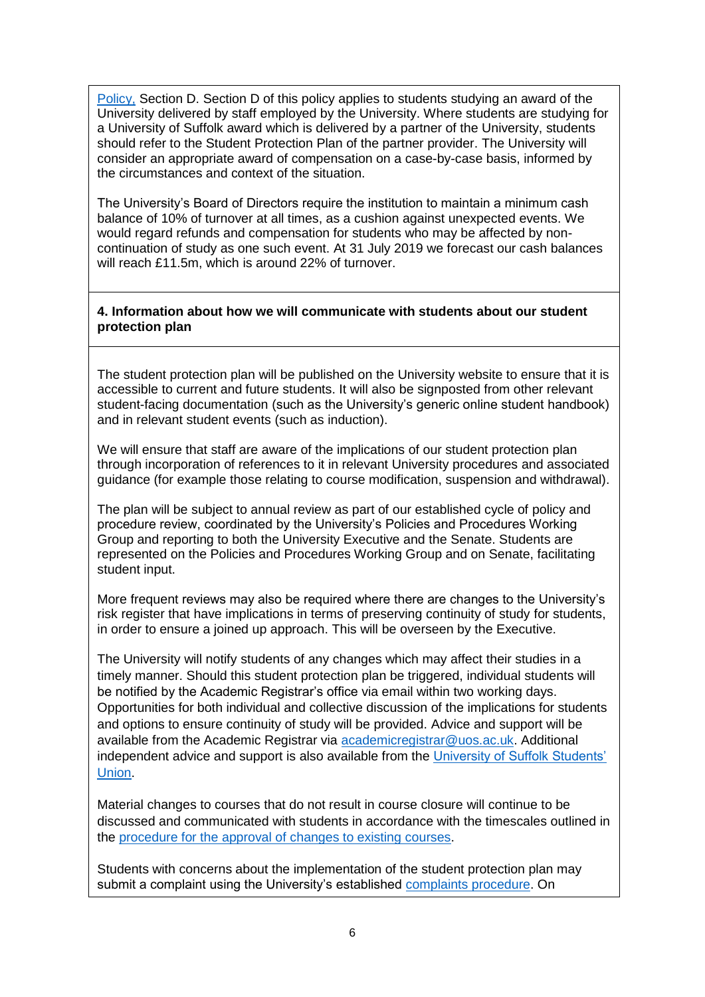[Policy,](https://www.uos.ac.uk/sites/default/files/University%20of%20Suffolk%20Tuition%20Fee%20Policy%202019-20%20-%20FINAL.pdf) Section D. Section D of this policy applies to students studying an award of the University delivered by staff employed by the University. Where students are studying for a University of Suffolk award which is delivered by a partner of the University, students should refer to the Student Protection Plan of the partner provider. The University will consider an appropriate award of compensation on a case-by-case basis, informed by the circumstances and context of the situation.

The University's Board of Directors require the institution to maintain a minimum cash balance of 10% of turnover at all times, as a cushion against unexpected events. We would regard refunds and compensation for students who may be affected by noncontinuation of study as one such event. At 31 July 2019 we forecast our cash balances will reach £11.5m, which is around 22% of turnover.

#### **4. Information about how we will communicate with students about our student protection plan**

The student protection plan will be published on the University website to ensure that it is accessible to current and future students. It will also be signposted from other relevant student-facing documentation (such as the University's generic online student handbook) and in relevant student events (such as induction).

We will ensure that staff are aware of the implications of our student protection plan through incorporation of references to it in relevant University procedures and associated guidance (for example those relating to course modification, suspension and withdrawal).

The plan will be subject to annual review as part of our established cycle of policy and procedure review, coordinated by the University's Policies and Procedures Working Group and reporting to both the University Executive and the Senate. Students are represented on the Policies and Procedures Working Group and on Senate, facilitating student input.

More frequent reviews may also be required where there are changes to the University's risk register that have implications in terms of preserving continuity of study for students, in order to ensure a joined up approach. This will be overseen by the Executive.

The University will notify students of any changes which may affect their studies in a timely manner. Should this student protection plan be triggered, individual students will be notified by the Academic Registrar's office via email within two working days. Opportunities for both individual and collective discussion of the implications for students and options to ensure continuity of study will be provided. Advice and support will be available from the Academic Registrar via [academicregistrar@uos.ac.uk.](mailto:academicregistrar@uos.ac.uk) Additional independent advice and support is also available from the [University of Suffolk Students'](https://www.uosunion.org/)  [Union.](https://www.uosunion.org/)

Material changes to courses that do not result in course closure will continue to be discussed and communicated with students in accordance with the timescales outlined in the [procedure for the approval of changes to existing courses.](https://www.uos.ac.uk/sites/default/files/Course-modification-procedure.pdf)

Students with concerns about the implementation of the student protection plan may submit a complaint using the University's established [complaints procedure.](https://www.uos.ac.uk/sites/default/files/Student-Complaints-Procedure.pdf) On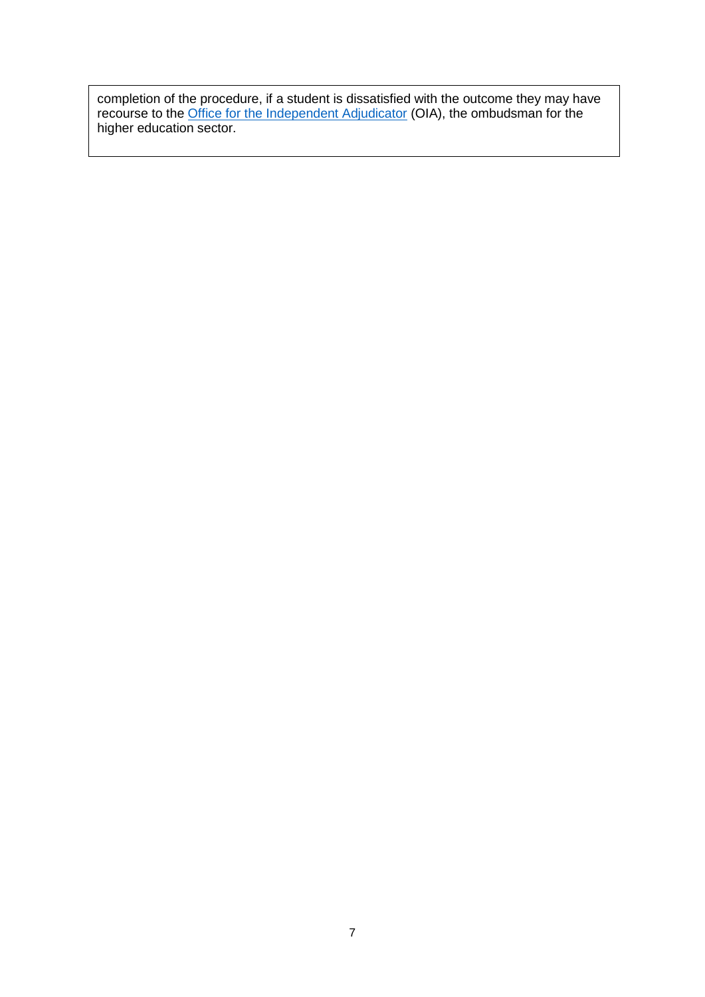completion of the procedure, if a student is dissatisfied with the outcome they may have recourse to the *Office for the Independent Adjudicator* (OIA), the ombudsman for the higher education sector.